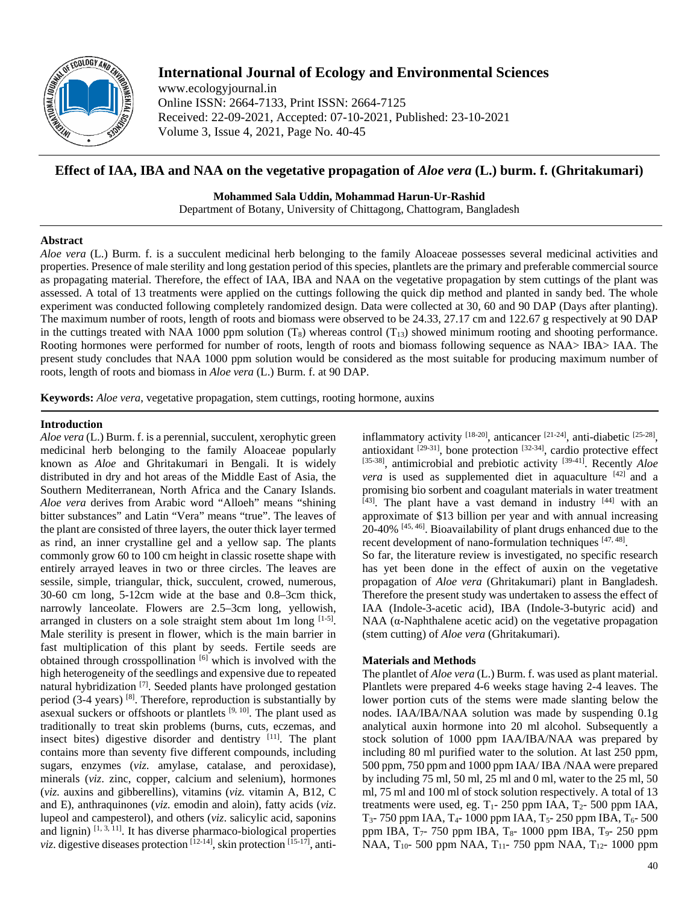

# **International Journal of Ecology and Environmental Sciences**

www.ecologyjournal.in Online ISSN: 2664-7133, Print ISSN: 2664-7125 Received: 22-09-2021, Accepted: 07-10-2021, Published: 23-10-2021 Volume 3, Issue 4, 2021, Page No. 40-45

## **Effect of IAA, IBA and NAA on the vegetative propagation of** *Aloe vera* **(L.) burm. f. (Ghritakumari)**

**Mohammed Sala Uddin, Mohammad Harun-Ur-Rashid** Department of Botany, University of Chittagong, Chattogram, Bangladesh

### **Abstract**

*Aloe vera* (L.) Burm. f. is a succulent medicinal herb belonging to the family Aloaceae possesses several medicinal activities and properties. Presence of male sterility and long gestation period of this species, plantlets are the primary and preferable commercial source as propagating material. Therefore, the effect of IAA, IBA and NAA on the vegetative propagation by stem cuttings of the plant was assessed. A total of 13 treatments were applied on the cuttings following the quick dip method and planted in sandy bed. The whole experiment was conducted following completely randomized design. Data were collected at 30, 60 and 90 DAP (Days after planting). The maximum number of roots, length of roots and biomass were observed to be 24.33, 27.17 cm and 122.67 g respectively at 90 DAP in the cuttings treated with NAA 1000 ppm solution  $(T_8)$  whereas control  $(T_{13})$  showed minimum rooting and shooting performance. Rooting hormones were performed for number of roots, length of roots and biomass following sequence as NAA> IBA> IAA. The present study concludes that NAA 1000 ppm solution would be considered as the most suitable for producing maximum number of roots, length of roots and biomass in *Aloe vera* (L.) Burm. f. at 90 DAP.

**Keywords:** *Aloe vera*, vegetative propagation, stem cuttings, rooting hormone, auxins

### **Introduction**

*Aloe vera* (L.) Burm. f. is a perennial, succulent, xerophytic green medicinal herb belonging to the family Aloaceae popularly known as *Aloe* and Ghritakumari in Bengali. It is widely distributed in dry and hot areas of the Middle East of Asia, the Southern Mediterranean, North Africa and the Canary Islands. *Aloe vera* derives from Arabic word "Alloeh" means "shining bitter substances" and Latin "Vera" means "true". The leaves of the plant are consisted of three layers, the outer thick layer termed as rind, an inner crystalline gel and a yellow sap. The plants commonly grow 60 to 100 cm height in classic rosette shape with entirely arrayed leaves in two or three circles. The leaves are sessile, simple, triangular, thick, succulent, crowed, numerous, 30-60 cm long, 5-12cm wide at the base and 0.8–3cm thick, narrowly lanceolate. Flowers are 2.5–3cm long, yellowish, arranged in clusters on a sole straight stem about 1m long [1-5]. Male sterility is present in flower, which is the main barrier in fast multiplication of this plant by seeds. Fertile seeds are obtained through crosspollination [6] which is involved with the high heterogeneity of the seedlings and expensive due to repeated natural hybridization<sup>[7]</sup>. Seeded plants have prolonged gestation period (3-4 years) <sup>[8]</sup>. Therefore, reproduction is substantially by asexual suckers or offshoots or plantlets  $[9, 10]$ . The plant used as traditionally to treat skin problems (burns, cuts, eczemas, and insect bites) digestive disorder and dentistry  $[11]$ . The plant contains more than seventy five different compounds, including sugars, enzymes (*viz*. amylase, catalase, and peroxidase), minerals (*viz*. zinc, copper, calcium and selenium), hormones (*viz.* auxins and gibberellins), vitamins (*viz.* vitamin A, B12, C and E), anthraquinones (*viz.* emodin and aloin), fatty acids (*viz*. lupeol and campesterol), and others (*viz*. salicylic acid, saponins and lignin)  $[1, 3, 11]$ . It has diverse pharmaco-biological properties *viz*. digestive diseases protection <sup>[12-14]</sup>, skin protection <sup>[15-17]</sup>, antiinflammatory activity  $[18-20]$ , anticancer  $[21-24]$ , anti-diabetic  $[25-28]$ , antioxidant  $[29-31]$ , bone protection  $[32-34]$ , cardio protective effect [35-38], antimicrobial and prebiotic activity [39-41]. Recently *Aloe vera* is used as supplemented diet in aquaculture <sup>[42]</sup> and a promising bio sorbent and coagulant materials in water treatment  $[43]$ . The plant have a vast demand in industry  $[44]$  with an approximate of \$13 billion per year and with annual increasing 20-40% [45, 46]. Bioavailability of plant drugs enhanced due to the recent development of nano-formulation techniques [47, 48].

So far, the literature review is investigated, no specific research has yet been done in the effect of auxin on the vegetative propagation of *Aloe vera* (Ghritakumari) plant in Bangladesh. Therefore the present study was undertaken to assess the effect of IAA (Indole-3-acetic acid), IBA (Indole-3-butyric acid) and NAA  $(α$ -Naphthalene acetic acid) on the vegetative propagation (stem cutting) of *Aloe vera* (Ghritakumari).

### **Materials and Methods**

The plantlet of *Aloe vera* (L.) Burm. f. was used as plant material. Plantlets were prepared 4-6 weeks stage having 2-4 leaves. The lower portion cuts of the stems were made slanting below the nodes. IAA/IBA/NAA solution was made by suspending 0.1g analytical auxin hormone into 20 ml alcohol. Subsequently a stock solution of 1000 ppm IAA/IBA/NAA was prepared by including 80 ml purified water to the solution. At last 250 ppm, 500 ppm, 750 ppm and 1000 ppm IAA/ IBA /NAA were prepared by including 75 ml, 50 ml, 25 ml and 0 ml, water to the 25 ml, 50 ml, 75 ml and 100 ml of stock solution respectively. A total of 13 treatments were used, eg.  $T_1$ - 250 ppm IAA,  $T_2$ - 500 ppm IAA,  $T_3$ - 750 ppm IAA,  $T_4$ - 1000 ppm IAA,  $T_5$ - 250 ppm IBA,  $T_6$ - 500 ppm IBA,  $T_7$ - 750 ppm IBA,  $T_8$ - 1000 ppm IBA,  $T_9$ - 250 ppm NAA,  $T_{10}$ - 500 ppm NAA,  $T_{11}$ - 750 ppm NAA,  $T_{12}$ - 1000 ppm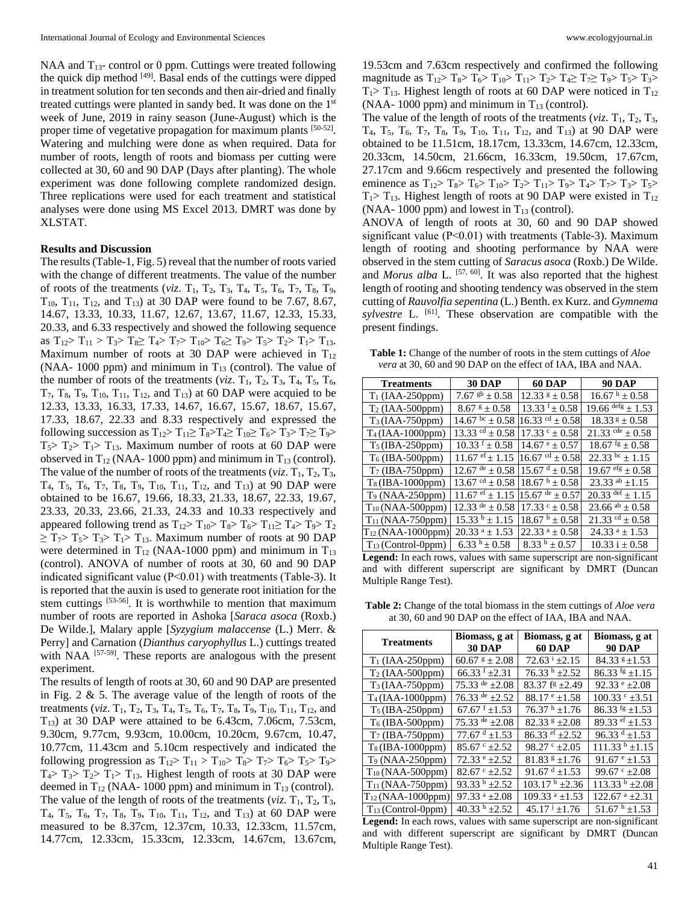NAA and  $T_{13}$ - control or 0 ppm. Cuttings were treated following the quick dip method [49]. Basal ends of the cuttings were dipped in treatment solution for ten seconds and then air-dried and finally treated cuttings were planted in sandy bed. It was done on the 1st week of June, 2019 in rainy season (June-August) which is the proper time of vegetative propagation for maximum plants [50-52]. Watering and mulching were done as when required. Data for number of roots, length of roots and biomass per cutting were collected at 30, 60 and 90 DAP (Days after planting). The whole experiment was done following complete randomized design. Three replications were used for each treatment and statistical analyses were done using MS Excel 2013. DMRT was done by XLSTAT.

#### **Results and Discussion**

The results (Table-1, Fig. 5) reveal that the number of roots varied with the change of different treatments. The value of the number of roots of the treatments (*viz*.  $T_1$ ,  $T_2$ ,  $T_3$ ,  $T_4$ ,  $T_5$ ,  $T_6$ ,  $T_7$ ,  $T_8$ ,  $T_9$ ,  $T_{10}$ ,  $T_{11}$ ,  $T_{12}$ , and  $T_{13}$ ) at 30 DAP were found to be 7.67, 8.67, 14.67, 13.33, 10.33, 11.67, 12.67, 13.67, 11.67, 12.33, 15.33, 20.33, and 6.33 respectively and showed the following sequence as  $T_{12} > T_{11} > T_3 > T_8 \ge T_4 > T_7 > T_{10} > T_6 \ge T_9 > T_5 > T_2 > T_1 > T_{13}$ . Maximum number of roots at 30 DAP were achieved in  $T_{12}$ (NAA- 1000 ppm) and minimum in  $T_{13}$  (control). The value of the number of roots of the treatments (*viz*.  $T_1$ ,  $T_2$ ,  $T_3$ ,  $T_4$ ,  $T_5$ ,  $T_6$ ,  $T_7$ ,  $T_8$ ,  $T_9$ ,  $T_{10}$ ,  $T_{11}$ ,  $T_{12}$ , and  $T_{13}$ ) at 60 DAP were acquied to be 12.33, 13.33, 16.33, 17.33, 14.67, 16.67, 15.67, 18.67, 15.67, 17.33, 18.67, 22.33 and 8.33 respectively and expressed the following succession as  $T_{12} > T_{11} \geq T_8 > T_4 \geq T_1_0 \geq T_6 > T_3 > T_7 \geq T_9 >$  $T_5$ >  $T_2$ >  $T_1$ >  $T_1$ <sub>3</sub>. Maximum number of roots at 60 DAP were observed in  $T_{12}$  (NAA- 1000 ppm) and minimum in  $T_{13}$  (control). The value of the number of roots of the treatments ( $viz$ ,  $T_1$ ,  $T_2$ ,  $T_3$ ,  $T_4$ ,  $T_5$ ,  $T_6$ ,  $T_7$ ,  $T_8$ ,  $T_9$ ,  $T_{10}$ ,  $T_{11}$ ,  $T_{12}$ , and  $T_{13}$ ) at 90 DAP were obtained to be 16.67, 19.66, 18.33, 21.33, 18.67, 22.33, 19.67, 23.33, 20.33, 23.66, 21.33, 24.33 and 10.33 respectively and appeared following trend as  $T_{12}$  >  $T_{10}$  >  $T_8$  >  $T_6$  >  $T_{11}$  ≥  $T_4$  >  $T_9$  >  $T_2$  $\geq T_7$   $\geq T_5$   $\geq T_1$   $\geq T_1$   $\geq$   $T_3$ . Maximum number of roots at 90 DAP were determined in  $T_{12}$  (NAA-1000 ppm) and minimum in  $T_{13}$ (control). ANOVA of number of roots at 30, 60 and 90 DAP indicated significant value (P˂0.01) with treatments (Table-3). It is reported that the auxin is used to generate root initiation for the stem cuttings [53-56]. It is worthwhile to mention that maximum number of roots are reported in Ashoka [*Saraca asoca* (Roxb.) De Wilde.], Malary apple [*Syzygium malaccense* (L.) Merr. & Perry] and Carnation (*Dianthus caryophyllus* L.) cuttings treated with NAA <sup>[57-59]</sup>. These reports are analogous with the present experiment.

The results of length of roots at 30, 60 and 90 DAP are presented in Fig. 2  $\&$  5. The average value of the length of roots of the treatments (*viz*.  $T_1$ ,  $T_2$ ,  $T_3$ ,  $T_4$ ,  $T_5$ ,  $T_6$ ,  $T_7$ ,  $T_8$ ,  $T_9$ ,  $T_{10}$ ,  $T_{11}$ ,  $T_{12}$ , and T13) at 30 DAP were attained to be 6.43cm, 7.06cm, 7.53cm, 9.30cm, 9.77cm, 9.93cm, 10.00cm, 10.20cm, 9.67cm, 10.47, 10.77cm, 11.43cm and 5.10cm respectively and indicated the following progression as  $T_{12} > T_{11} > T_{10} > T_8 > T_7 > T_6 > T_5 > T_9 >$  $T_4$ >  $T_3$ >  $T_2$ >  $T_1$ >  $T_1$ <sub>3</sub>. Highest length of roots at 30 DAP were deemed in  $T_{12}$  (NAA- 1000 ppm) and minimum in  $T_{13}$  (control). The value of the length of roots of the treatments  $(viz. T_1, T_2, T_3, T_4)$  $T_4$ ,  $T_5$ ,  $T_6$ ,  $T_7$ ,  $T_8$ ,  $T_9$ ,  $T_{10}$ ,  $T_{11}$ ,  $T_{12}$ , and  $T_{13}$ ) at 60 DAP were measured to be 8.37cm, 12.37cm, 10.33, 12.33cm, 11.57cm, 14.77cm, 12.33cm, 15.33cm, 12.33cm, 14.67cm, 13.67cm,

19.53cm and 7.63cm respectively and confirmed the following magnitude as  $T_{12} > T_8 > T_6 > T_{10} > T_{11} > T_2 > T_4 \ge T_7 \ge T_9 > T_5 > T_3 >$  $T_1$ > T<sub>13</sub>. Highest length of roots at 60 DAP were noticed in T<sub>12</sub> (NAA- 1000 ppm) and minimum in  $T_{13}$  (control).

The value of the length of roots of the treatments ( $viz$ ,  $T_1$ ,  $T_2$ ,  $T_3$ ,  $T_4$ ,  $T_5$ ,  $T_6$ ,  $T_7$ ,  $T_8$ ,  $T_9$ ,  $T_{10}$ ,  $T_{11}$ ,  $T_{12}$ , and  $T_{13}$ ) at 90 DAP were obtained to be 11.51cm, 18.17cm, 13.33cm, 14.67cm, 12.33cm, 20.33cm, 14.50cm, 21.66cm, 16.33cm, 19.50cm, 17.67cm, 27.17cm and 9.66cm respectively and presented the following eminence as  $T_{12}$  >  $T_8$  >  $T_6$  >  $T_{10}$  >  $T_2$  >  $T_{11}$  >  $T_9$  >  $T_4$  >  $T_7$  >  $T_3$  >  $T_5$  >  $T_1>T_1$ <sub>3</sub>. Highest length of roots at 90 DAP were existed in T<sub>12</sub> (NAA- 1000 ppm) and lowest in  $T_{13}$  (control).

ANOVA of length of roots at 30, 60 and 90 DAP showed significant value (P<0.01) with treatments (Table-3). Maximum length of rooting and shooting performance by NAA were observed in the stem cutting of *Saracus asoca* (Roxb.) De Wilde. and *Morus alba* L. <sup>[57, 60]</sup>. It was also reported that the highest length of rooting and shooting tendency was observed in the stem cutting of *Rauvolfia sepentina* (L.) Benth. ex Kurz. and *Gymnema sylvestre* L. [61]. These observation are compatible with the present findings.

**Table 1:** Change of the number of roots in the stem cuttings of *Aloe vera* at 30, 60 and 90 DAP on the effect of IAA, IBA and NAA.

| <b>Treatments</b>       | <b>30 DAP</b>                                           | <b>60 DAP</b>                           | <b>90 DAP</b>                  |  |  |
|-------------------------|---------------------------------------------------------|-----------------------------------------|--------------------------------|--|--|
| $T_1$ (IAA-250ppm)      | 7.67 $\rm{gh}$ $\pm$ 0.58                               | $12.33$ $\pm 0.58$                      | $16.67 h \pm 0.58$             |  |  |
| $T_2$ (IAA-500ppm)      | $8.67* \pm 0.58$                                        | $13.33 \text{ f} \pm 0.58$              | $19.66 \text{ defg} \pm 1.53$  |  |  |
| $T_3$ (IAA-750ppm)      | $\frac{14.67 \text{ bc}}{14.67 \text{ b}} \pm 0.58$     | 16.33 <sup>cd</sup> $\pm$ 0.58          | $18.33$ s $\pm$ 0.58           |  |  |
| $T_4$ (IAA-1000ppm)     | 13.33 <sup>cd</sup> $\pm$ 0.58                          | $17.33$ $^{\circ}$ $\pm$ $0.58$         | 21.33 $\text{cde} \pm 0.58$    |  |  |
| $T_5$ (IBA-250ppm)      | $10.33$ f $\pm 0.58$                                    | $14.67^{\circ} \pm 0.57^{\circ}$        | $18.67$ fg $\pm 0.58$          |  |  |
| $T_6$ (IBA-500ppm)      | $11.67$ ef $\pm 1.15$                                   | 16.67 $\rm{^{cd}}$ $\pm$ 0.58           | $22.33^{bc} \pm 1.15$          |  |  |
| $T_7$ (IBA-750ppm)      | $12.67$ de $\pm$ 0.58   15.67 d $\pm$ 0.58              |                                         | $19.67$ efg + 0.58             |  |  |
| $T_8$ (IBA-1000ppm)     | $13.67 \text{°}$ $\pm 0.58$ 18.67 $\text{°}$ $\pm 0.58$ |                                         | 23.33 $^{ab}$ $\pm$ 1.15       |  |  |
| $T_9$ (NAA-250ppm)      | $11.67$ ef $\pm 1.15$                                   | 15.67 $de \pm 0.57$                     | 20.33 def $\pm$ 1.15           |  |  |
| $T_{10}$ (NAA-500ppm)   | 12.33 de $\pm 0.58$                                     | $17.33^{\circ} + 0.58$                  | 23.66 $^{ab}$ ± 0.58           |  |  |
| $T_{11}$ (NAA-750ppm)   | $15.33^{b} \pm 1.15$                                    | $18.67^{\text{ b}} \pm 0.58^{\text{c}}$ | 21.33 <sup>cd</sup> $\pm$ 0.58 |  |  |
| $T_{12}$ (NAA-1000ppm)  | $20.33$ <sup>a</sup> ± 1.53                             | $22.33^{\text{ a}} \pm 0.58$            | $24.33$ <sup>a</sup> ± 1.53    |  |  |
| $T_{13}$ (Control-0ppm) | 6.33 h $\pm$ 0.58                                       | $8.33 h \pm 0.57$                       | $10.33 i \pm 0.58$             |  |  |

**Legend:** In each rows, values with same superscript are non-significant and with different superscript are significant by DMRT (Duncan Multiple Range Test).

**Table 2:** Change of the total biomass in the stem cuttings of *Aloe vera* at 30, 60 and 90 DAP on the effect of IAA, IBA and NAA.

| <b>Treatments</b>              | Biomass, g at<br><b>30 DAP</b>  | Biomass, g at<br><b>60 DAP</b>      | Biomass, g at<br><b>90 DAP</b>    |
|--------------------------------|---------------------------------|-------------------------------------|-----------------------------------|
| $T_1$ (IAA-250ppm)             | $60.67$ $\text{g}$ + 2.08       | $72.63 \text{ }^{i}$ ±2.15          | $84.33*+1.53$                     |
| $T_2$ (IAA-500ppm)             | 66.33 $f \pm 2.31$              | $76.33 h + 2.52$                    | $86.33$ fg $+1.15$                |
| $T_3$ (IAA-750ppm)             | $75.33$ de $+2.08$              | $83.37 \text{ f}^{\text{g}} = 2.49$ | $92.33^{\circ}$ +2.08             |
| $\overline{T_4}$ (IAA-1000ppm) | $76.33$ de $+2.52$              | $88.17e+1.58$                       | $100.33$ c $\pm 3.51$             |
| $T_5$ (IBA-250ppm)             | 67.67 $\pm 1.53$                | $76.37 h + 1.76$                    | $86.33$ fg $\pm 1.53$             |
| $T_6$ (IBA-500ppm)             | $75.33$ de $+2.08$              | $82.33*+2.08$                       | 89.33 $\text{e}^{\text{f}}$ ±1.53 |
| $T_7$ (IBA-750ppm)             | $77.67$ <sup>d</sup> $\pm$ 1.53 | 86.33 $\mathrm{e}$ f $\pm 2.52$     | 96.33 $d$ ±1.53                   |
| T <sub>8</sub> (IBA-1000ppm)   | $85.67$ $\degree$ $\pm 2.52$    | $98.27$ c +2.05                     | $111.33b \pm 1.15$                |
| $T_9$ (NAA-250ppm)             | $72.33$ e $\pm 2.52$            | $81.83$ $\pm 1.76$                  | 91.67 $e$ ±1.53                   |
| $T_{10}$ (NAA-500ppm)          | $82.67$ $\degree$ $\pm 2.52$    | $91.67d + 1.53$                     | 99.67 $\text{c}$ +2.08            |
| $T_{11}$ (NAA-750ppm)          | 93.33 $\frac{b}{2}$ ±2.52       | $103.17^{b} + 2.36$                 | 113.33 $\frac{b}{2}$ $\pm 2.08$   |
| $T_{12}$ (NAA-1000ppm)         | 97.33 $a + 2.08$                | 109.33 $a \pm 1.53$                 | 122.67 $a_{\pm}2.31$              |
| $T_{13}$ (Control-0ppm)        | 40.33 h $\pm 2.52$              | $45.17 + 1.76$                      | $51.67 h + 1.53$                  |

**Legend:** In each rows, values with same superscript are non-significant and with different superscript are significant by DMRT (Duncan Multiple Range Test).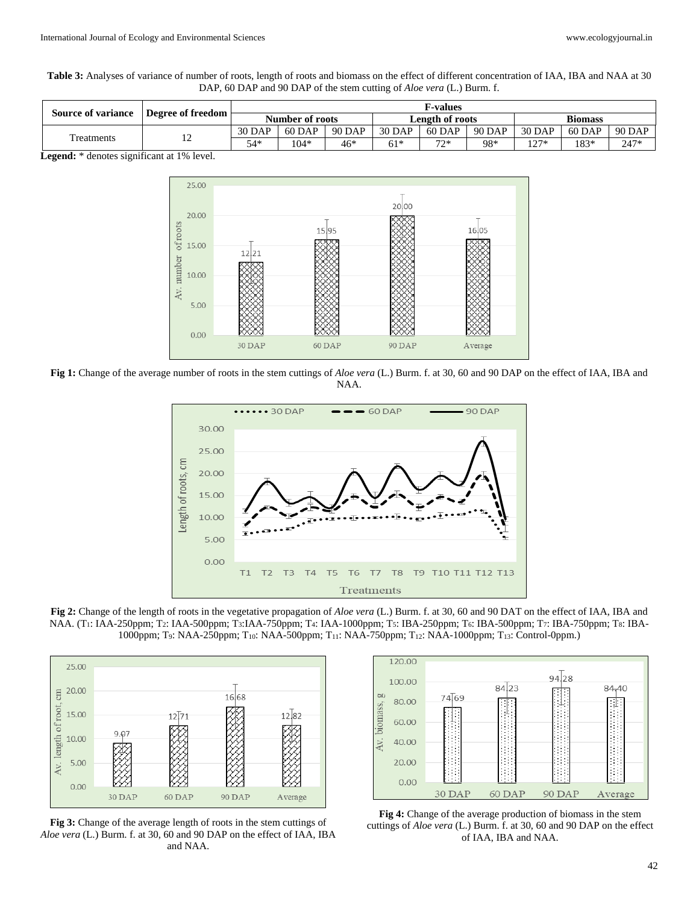**Table 3:** Analyses of variance of number of roots, length of roots and biomass on the effect of different concentration of IAA, IBA and NAA at 30 DAP, 60 DAP and 90 DAP of the stem cutting of *Aloe vera* (L.) Burm. f.

| <b>Source of variance</b> | Degree of freedom | <b>F-values</b>        |        |                        |        |                |        |        |        |        |
|---------------------------|-------------------|------------------------|--------|------------------------|--------|----------------|--------|--------|--------|--------|
|                           |                   | <b>Number of roots</b> |        | <b>Length of roots</b> |        | <b>Biomass</b> |        |        |        |        |
| Freatments                | ∸                 | 30 DAP                 | 60 DAP | 90 DAP                 | 30 DAP | 60 DAP         | 90 DAP | 30 DAP | 60 DAP | 90 DAP |
|                           |                   | 54*                    | 104*   | $46*$                  | $61*$  | 7つ*            | 98*    | $27*$  | 183*   | 247*   |

**Legend:** \* denotes significant at 1% level.



**Fig 1:** Change of the average number of roots in the stem cuttings of *Aloe vera* (L.) Burm. f. at 30, 60 and 90 DAP on the effect of IAA, IBA and NAA.



**Fig 2:** Change of the length of roots in the vegetative propagation of *Aloe vera* (L.) Burm. f. at 30, 60 and 90 DAT on the effect of IAA, IBA and NAA. (T<sub>1</sub>: IAA-250ppm; T<sub>2</sub>: IAA-500ppm; T<sub>3</sub>: IAA-750ppm; T<sub>4</sub>: IAA-1000ppm; T<sub>5</sub>: IBA-250ppm; T<sub>6</sub>: IBA-500ppm; T7: IBA-750ppm; T<sub>8</sub>: IBA-1000ppm; T9: NAA-250ppm; T10: NAA-500ppm; T11: NAA-750ppm; T12: NAA-1000ppm; T13: Control-0ppm.)



**Fig 3:** Change of the average length of roots in the stem cuttings of *Aloe vera* (L.) Burm. f. at 30, 60 and 90 DAP on the effect of IAA, IBA and NAA.



**Fig 4:** Change of the average production of biomass in the stem cuttings of *Aloe vera* (L.) Burm. f. at 30, 60 and 90 DAP on the effect of IAA, IBA and NAA.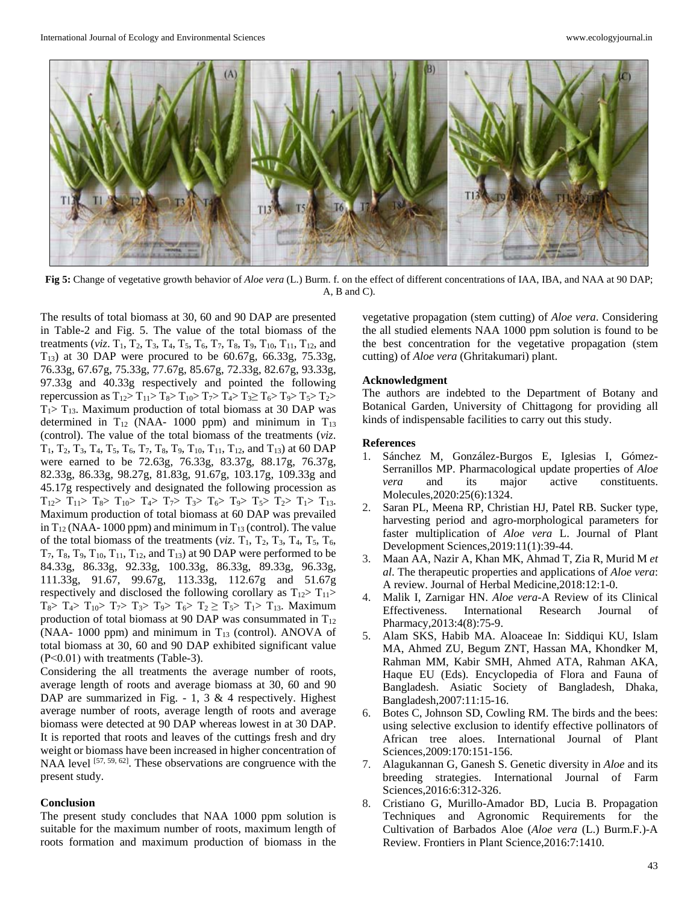

**Fig 5:** Change of vegetative growth behavior of *Aloe vera* (L.) Burm. f. on the effect of different concentrations of IAA, IBA, and NAA at 90 DAP; A, B and C).

The results of total biomass at 30, 60 and 90 DAP are presented in Table-2 and Fig. 5. The value of the total biomass of the treatments (*viz*.  $T_1$ ,  $T_2$ ,  $T_3$ ,  $T_4$ ,  $T_5$ ,  $T_6$ ,  $T_7$ ,  $T_8$ ,  $T_9$ ,  $T_{10}$ ,  $T_{11}$ ,  $T_{12}$ , and T13) at 30 DAP were procured to be 60.67g, 66.33g, 75.33g, 76.33g, 67.67g, 75.33g, 77.67g, 85.67g, 72.33g, 82.67g, 93.33g, 97.33g and 40.33g respectively and pointed the following repercussion as  $T_{12} > T_{11} > T_8 > T_{10} > T_7 > T_4 > T_3 \ge T_6 > T_9 > T_5 > T_2 >$  $T_1>T_1$ 3. Maximum production of total biomass at 30 DAP was determined in  $T_{12}$  (NAA- 1000 ppm) and minimum in  $T_{13}$ (control). The value of the total biomass of the treatments (*viz*.  $T_1, T_2, T_3, T_4, T_5, T_6, T_7, T_8, T_9, T_{10}, T_{11}, T_{12}$ , and  $T_{13}$ ) at 60 DAP were earned to be 72.63g, 76.33g, 83.37g, 88.17g, 76.37g, 82.33g, 86.33g, 98.27g, 81.83g, 91.67g, 103.17g, 109.33g and 45.17g respectively and designated the following procession as  $T_{12}$  >  $T_{11}$  >  $T_8$  >  $T_{10}$  >  $T_4$  >  $T_7$  >  $T_3$  >  $T_6$  >  $T_9$  >  $T_5$  >  $T_2$  >  $T_1$  >  $T_{13}$ . Maximum production of total biomass at 60 DAP was prevailed in  $T_{12}$  (NAA- 1000 ppm) and minimum in  $T_{13}$  (control). The value of the total biomass of the treatments ( $viz$ .  $T_1$ ,  $T_2$ ,  $T_3$ ,  $T_4$ ,  $T_5$ ,  $T_6$ ,  $T_7$ ,  $T_8$ ,  $T_9$ ,  $T_{10}$ ,  $T_{11}$ ,  $T_{12}$ , and  $T_{13}$ ) at 90 DAP were performed to be 84.33g, 86.33g, 92.33g, 100.33g, 86.33g, 89.33g, 96.33g, 111.33g, 91.67, 99.67g, 113.33g, 112.67g and 51.67g respectively and disclosed the following corollary as  $T_{12}$   $T_{11}$  $T_8$ >  $T_4$ >  $T_1$ <sub>0</sub>>  $T_7$ >  $T_3$ >  $T_9$ >  $T_6$ >  $T_2$   $\geq$   $T_5$ >  $T_1$ >  $T_1$ <sub>3</sub>. Maximum production of total biomass at 90 DAP was consummated in  $T_{12}$ (NAA- 1000 ppm) and minimum in  $T_{13}$  (control). ANOVA of total biomass at 30, 60 and 90 DAP exhibited significant value (P˂0.01) with treatments (Table-3).

Considering the all treatments the average number of roots, average length of roots and average biomass at 30, 60 and 90 DAP are summarized in Fig.  $-1$ , 3 & 4 respectively. Highest average number of roots, average length of roots and average biomass were detected at 90 DAP whereas lowest in at 30 DAP. It is reported that roots and leaves of the cuttings fresh and dry weight or biomass have been increased in higher concentration of NAA level [57, 59, 62]. These observations are congruence with the present study.

### **Conclusion**

The present study concludes that NAA 1000 ppm solution is suitable for the maximum number of roots, maximum length of roots formation and maximum production of biomass in the vegetative propagation (stem cutting) of *Aloe vera*. Considering the all studied elements NAA 1000 ppm solution is found to be the best concentration for the vegetative propagation (stem cutting) of *Aloe vera* (Ghritakumari) plant.

#### **Acknowledgment**

The authors are indebted to the Department of Botany and Botanical Garden, University of Chittagong for providing all kinds of indispensable facilities to carry out this study.

### **References**

- 1. Sánchez M, González-Burgos E, Iglesias I, Gómez-Serranillos MP. Pharmacological update properties of *Aloe vera* and its major active constituents. Molecules,2020:25(6):1324.
- 2. Saran PL, Meena RP, Christian HJ, Patel RB. Sucker type, harvesting period and agro-morphological parameters for faster multiplication of *Aloe vera* L. Journal of Plant Development Sciences,2019:11(1):39-44.
- 3. Maan AA, Nazir A, Khan MK, Ahmad T, Zia R, Murid M *et al*. The therapeutic properties and applications of *Aloe vera*: A review. Journal of Herbal Medicine,2018:12:1-0.
- 4. Malik I, Zarnigar HN. *Aloe vera*-A Review of its Clinical Effectiveness. International Research Journal of Pharmacy,2013:4(8):75-9.
- 5. Alam SKS, Habib MA. Aloaceae In: Siddiqui KU, Islam MA, Ahmed ZU, Begum ZNT, Hassan MA, Khondker M, Rahman MM, Kabir SMH, Ahmed ATA, Rahman AKA, Haque EU (Eds). Encyclopedia of Flora and Fauna of Bangladesh. Asiatic Society of Bangladesh, Dhaka, Bangladesh,2007:11:15-16.
- 6. Botes C, Johnson SD, Cowling RM. The birds and the bees: using selective exclusion to identify effective pollinators of African tree aloes. International Journal of Plant Sciences,2009:170:151-156.
- 7. Alagukannan G, Ganesh S. Genetic diversity in *Aloe* and its breeding strategies. International Journal of Farm Sciences,2016:6:312-326.
- 8. Cristiano G, Murillo-Amador BD, Lucia B. Propagation Techniques and Agronomic Requirements for the Cultivation of Barbados Aloe (*Aloe vera* (L.) Burm.F.)-A Review. Frontiers in Plant Science,2016:7:1410.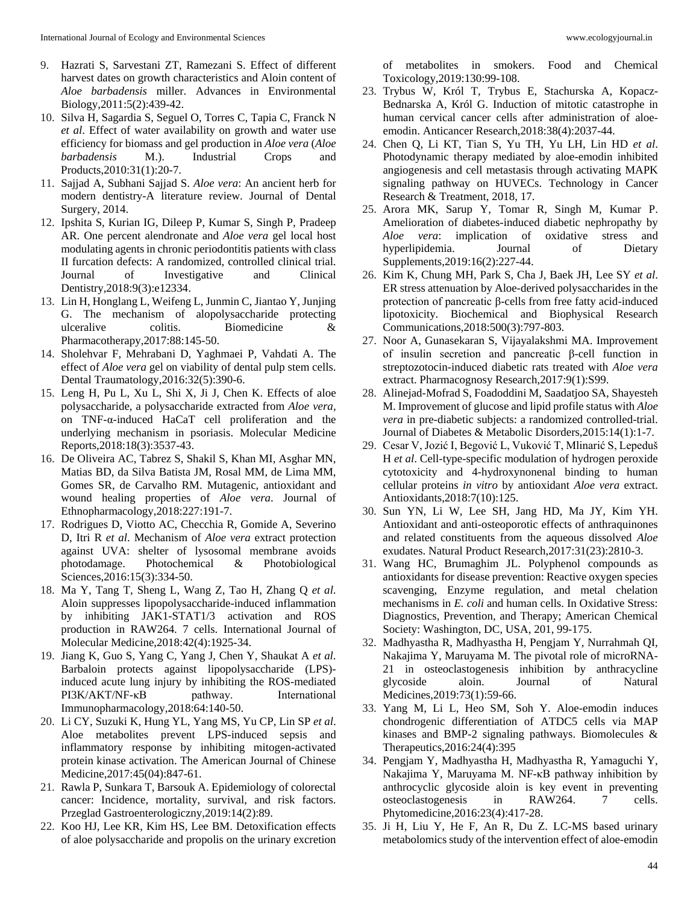- 9. Hazrati S, Sarvestani ZT, Ramezani S. Effect of different harvest dates on growth characteristics and Aloin content of *Aloe barbadensis* miller. Advances in Environmental Biology,2011:5(2):439-42.
- 10. Silva H, Sagardia S, Seguel O, Torres C, Tapia C, Franck N *et al*. Effect of water availability on growth and water use efficiency for biomass and gel production in *Aloe vera* (*Aloe barbadensis* M.). Industrial Crops and Products,2010:31(1):20-7.
- 11. Sajjad A, Subhani Sajjad S. *Aloe vera*: An ancient herb for modern dentistry-A literature review. Journal of Dental Surgery, 2014.
- 12. Ipshita S, Kurian IG, Dileep P, Kumar S, Singh P, Pradeep AR. One percent alendronate and *Aloe vera* gel local host modulating agents in chronic periodontitis patients with class II furcation defects: A randomized, controlled clinical trial. Journal of Investigative and Clinical Dentistry,2018:9(3):e12334.
- 13. Lin H, Honglang L, Weifeng L, Junmin C, Jiantao Y, Junjing G. The mechanism of alopolysaccharide protecting ulceralive colitis. Biomedicine & Pharmacotherapy,2017:88:145-50.
- 14. Sholehvar F, Mehrabani D, Yaghmaei P, Vahdati A. The effect of *Aloe vera* gel on viability of dental pulp stem cells. Dental Traumatology,2016:32(5):390-6.
- 15. Leng H, Pu L, Xu L, Shi X, Ji J, Chen K. Effects of aloe polysaccharide, a polysaccharide extracted from *Aloe vera,* on TNF-α-induced HaCaT cell proliferation and the underlying mechanism in psoriasis. Molecular Medicine Reports,2018:18(3):3537-43.
- 16. De Oliveira AC, Tabrez S, Shakil S, Khan MI, Asghar MN, Matias BD, da Silva Batista JM, Rosal MM, de Lima MM, Gomes SR, de Carvalho RM. Mutagenic, antioxidant and wound healing properties of *Aloe vera*. Journal of Ethnopharmacology,2018:227:191-7.
- 17. Rodrigues D, Viotto AC, Checchia R, Gomide A, Severino D, Itri R *et al*. Mechanism of *Aloe vera* extract protection against UVA: shelter of lysosomal membrane avoids photodamage. Photochemical & Photobiological Sciences,2016:15(3):334-50.
- 18. Ma Y, Tang T, Sheng L, Wang Z, Tao H, Zhang Q *et al*. Aloin suppresses lipopolysaccharide-induced inflammation by inhibiting JAK1-STAT1/3 activation and ROS production in RAW264. 7 cells. International Journal of Molecular Medicine,2018:42(4):1925-34.
- 19. Jiang K, Guo S, Yang C, Yang J, Chen Y, Shaukat A *et al*. Barbaloin protects against lipopolysaccharide (LPS) induced acute lung injury by inhibiting the ROS-mediated PI3K/AKT/NF-κB pathway. International Immunopharmacology,2018:64:140-50.
- 20. Li CY, Suzuki K, Hung YL, Yang MS, Yu CP, Lin SP *et al*. Aloe metabolites prevent LPS-induced sepsis and inflammatory response by inhibiting mitogen-activated protein kinase activation. The American Journal of Chinese Medicine,2017:45(04):847-61.
- 21. Rawla P, Sunkara T, Barsouk A. Epidemiology of colorectal cancer: Incidence, mortality, survival, and risk factors. Przeglad Gastroenterologiczny,2019:14(2):89.
- 22. Koo HJ, Lee KR, Kim HS, Lee BM. Detoxification effects of aloe polysaccharide and propolis on the urinary excretion

of metabolites in smokers. Food and Chemical Toxicology,2019:130:99-108.

- 23. Trybus W, Król T, Trybus E, Stachurska A, Kopacz-Bednarska A, Król G. Induction of mitotic catastrophe in human cervical cancer cells after administration of aloeemodin. Anticancer Research,2018:38(4):2037-44.
- 24. Chen Q, Li KT, Tian S, Yu TH, Yu LH, Lin HD *et al*. Photodynamic therapy mediated by aloe-emodin inhibited angiogenesis and cell metastasis through activating MAPK signaling pathway on HUVECs. Technology in Cancer Research & Treatment, 2018, 17.
- 25. Arora MK, Sarup Y, Tomar R, Singh M, Kumar P. Amelioration of diabetes-induced diabetic nephropathy by *Aloe vera*: implication of oxidative stress and hyperlipidemia. Journal of Dietary Supplements,2019:16(2):227-44.
- 26. Kim K, Chung MH, Park S, Cha J, Baek JH, Lee SY *et al*. ER stress attenuation by Aloe-derived polysaccharides in the protection of pancreatic β-cells from free fatty acid-induced lipotoxicity. Biochemical and Biophysical Research Communications,2018:500(3):797-803.
- 27. Noor A, Gunasekaran S, Vijayalakshmi MA. Improvement of insulin secretion and pancreatic β-cell function in streptozotocin-induced diabetic rats treated with *Aloe vera* extract. Pharmacognosy Research,2017:9(1):S99.
- 28. Alinejad-Mofrad S, Foadoddini M, Saadatjoo SA, Shayesteh M. Improvement of glucose and lipid profile status with *Aloe vera* in pre-diabetic subjects: a randomized controlled-trial. Journal of Diabetes & Metabolic Disorders,2015:14(1):1-7.
- 29. Cesar V, Jozić I, Begović L, Vuković T, Mlinarić S, Lepeduš H *et al*. Cell-type-specific modulation of hydrogen peroxide cytotoxicity and 4-hydroxynonenal binding to human cellular proteins *in vitro* by antioxidant *Aloe vera* extract. Antioxidants,2018:7(10):125.
- 30. Sun YN, Li W, Lee SH, Jang HD, Ma JY, Kim YH. Antioxidant and anti-osteoporotic effects of anthraquinones and related constituents from the aqueous dissolved *Aloe* exudates. Natural Product Research,2017:31(23):2810-3.
- 31. Wang HC, Brumaghim JL. Polyphenol compounds as antioxidants for disease prevention: Reactive oxygen species scavenging, Enzyme regulation, and metal chelation mechanisms in *E. coli* and human cells. In Oxidative Stress: Diagnostics, Prevention, and Therapy; American Chemical Society: Washington, DC, USA, 201, 99-175.
- 32. Madhyastha R, Madhyastha H, Pengjam Y, Nurrahmah QI, Nakajima Y, Maruyama M. The pivotal role of microRNA-21 in osteoclastogenesis inhibition by anthracycline glycoside aloin. Journal of Natural Medicines,2019:73(1):59-66.
- 33. Yang M, Li L, Heo SM, Soh Y. Aloe-emodin induces chondrogenic differentiation of ATDC5 cells via MAP kinases and BMP-2 signaling pathways. Biomolecules & Therapeutics,2016:24(4):395
- 34. Pengjam Y, Madhyastha H, Madhyastha R, Yamaguchi Y, Nakajima Y, Maruyama M. NF-κB pathway inhibition by anthrocyclic glycoside aloin is key event in preventing osteoclastogenesis in RAW264. 7 cells. Phytomedicine,2016:23(4):417-28.
- 35. Ji H, Liu Y, He F, An R, Du Z. LC-MS based urinary metabolomics study of the intervention effect of aloe-emodin